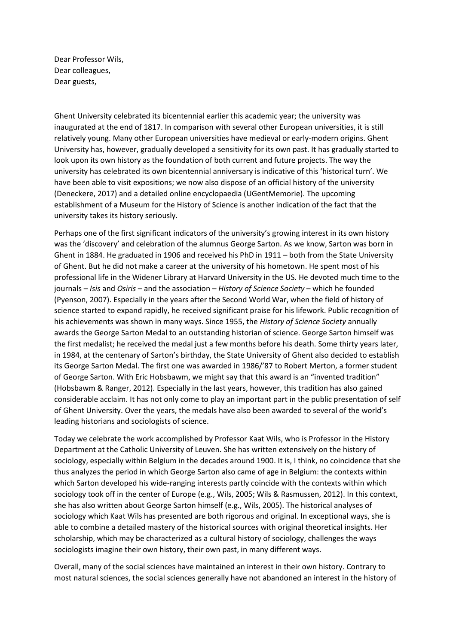Dear Professor Wils, Dear colleagues, Dear guests,

Ghent University celebrated its bicentennial earlier this academic year; the university was inaugurated at the end of 1817. In comparison with several other European universities, it is still relatively young. Many other European universities have medieval or early-modern origins. Ghent University has, however, gradually developed a sensitivity for its own past. It has gradually started to look upon its own history as the foundation of both current and future projects. The way the university has celebrated its own bicentennial anniversary is indicative of this 'historical turn'. We have been able to visit expositions; we now also dispose of an official history of the university (Deneckere, 2017) and a detailed online encyclopaedia (UGentMemorie). The upcoming establishment of a Museum for the History of Science is another indication of the fact that the university takes its history seriously.

Perhaps one of the first significant indicators of the university's growing interest in its own history was the 'discovery' and celebration of the alumnus George Sarton. As we know, Sarton was born in Ghent in 1884. He graduated in 1906 and received his PhD in 1911 – both from the State University of Ghent. But he did not make a career at the university of his hometown. He spent most of his professional life in the Widener Library at Harvard University in the US. He devoted much time to the journals – *Isis* and *Osiris* – and the association – *History of Science Society* – which he founded (Pyenson, 2007). Especially in the years after the Second World War, when the field of history of science started to expand rapidly, he received significant praise for his lifework. Public recognition of his achievements was shown in many ways. Since 1955, the *History of Science Society* annually awards the George Sarton Medal to an outstanding historian of science. George Sarton himself was the first medalist; he received the medal just a few months before his death. Some thirty years later, in 1984, at the centenary of Sarton's birthday, the State University of Ghent also decided to establish its George Sarton Medal. The first one was awarded in 1986/'87 to Robert Merton, a former student of George Sarton. With Eric Hobsbawm, we might say that this award is an "invented tradition" (Hobsbawm & Ranger, 2012). Especially in the last years, however, this tradition has also gained considerable acclaim. It has not only come to play an important part in the public presentation of self of Ghent University. Over the years, the medals have also been awarded to several of the world's leading historians and sociologists of science.

Today we celebrate the work accomplished by Professor Kaat Wils, who is Professor in the History Department at the Catholic University of Leuven. She has written extensively on the history of sociology, especially within Belgium in the decades around 1900. It is, I think, no coincidence that she thus analyzes the period in which George Sarton also came of age in Belgium: the contexts within which Sarton developed his wide-ranging interests partly coincide with the contexts within which sociology took off in the center of Europe (e.g., Wils, 2005; Wils & Rasmussen, 2012). In this context, she has also written about George Sarton himself (e.g., Wils, 2005). The historical analyses of sociology which Kaat Wils has presented are both rigorous and original. In exceptional ways, she is able to combine a detailed mastery of the historical sources with original theoretical insights. Her scholarship, which may be characterized as a cultural history of sociology, challenges the ways sociologists imagine their own history, their own past, in many different ways.

Overall, many of the social sciences have maintained an interest in their own history. Contrary to most natural sciences, the social sciences generally have not abandoned an interest in the history of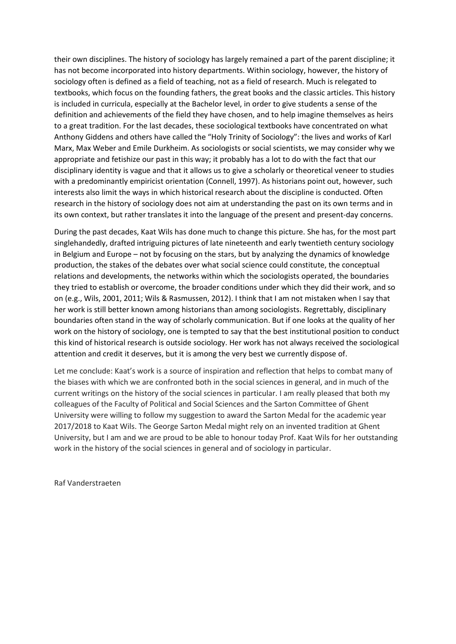their own disciplines. The history of sociology has largely remained a part of the parent discipline; it has not become incorporated into history departments. Within sociology, however, the history of sociology often is defined as a field of teaching, not as a field of research. Much is relegated to textbooks, which focus on the founding fathers, the great books and the classic articles. This history is included in curricula, especially at the Bachelor level, in order to give students a sense of the definition and achievements of the field they have chosen, and to help imagine themselves as heirs to a great tradition. For the last decades, these sociological textbooks have concentrated on what Anthony Giddens and others have called the "Holy Trinity of Sociology": the lives and works of Karl Marx, Max Weber and Emile Durkheim. As sociologists or social scientists, we may consider why we appropriate and fetishize our past in this way; it probably has a lot to do with the fact that our disciplinary identity is vague and that it allows us to give a scholarly or theoretical veneer to studies with a predominantly empiricist orientation (Connell, 1997). As historians point out, however, such interests also limit the ways in which historical research about the discipline is conducted. Often research in the history of sociology does not aim at understanding the past on its own terms and in its own context, but rather translates it into the language of the present and present-day concerns.

During the past decades, Kaat Wils has done much to change this picture. She has, for the most part singlehandedly, drafted intriguing pictures of late nineteenth and early twentieth century sociology in Belgium and Europe – not by focusing on the stars, but by analyzing the dynamics of knowledge production, the stakes of the debates over what social science could constitute, the conceptual relations and developments, the networks within which the sociologists operated, the boundaries they tried to establish or overcome, the broader conditions under which they did their work, and so on (e.g., Wils, 2001, 2011; Wils & Rasmussen, 2012). I think that I am not mistaken when I say that her work is still better known among historians than among sociologists. Regrettably, disciplinary boundaries often stand in the way of scholarly communication. But if one looks at the quality of her work on the history of sociology, one is tempted to say that the best institutional position to conduct this kind of historical research is outside sociology. Her work has not always received the sociological attention and credit it deserves, but it is among the very best we currently dispose of.

Let me conclude: Kaat's work is a source of inspiration and reflection that helps to combat many of the biases with which we are confronted both in the social sciences in general, and in much of the current writings on the history of the social sciences in particular. I am really pleased that both my colleagues of the Faculty of Political and Social Sciences and the Sarton Committee of Ghent University were willing to follow my suggestion to award the Sarton Medal for the academic year 2017/2018 to Kaat Wils. The George Sarton Medal might rely on an invented tradition at Ghent University, but I am and we are proud to be able to honour today Prof. Kaat Wils for her outstanding work in the history of the social sciences in general and of sociology in particular.

Raf Vanderstraeten